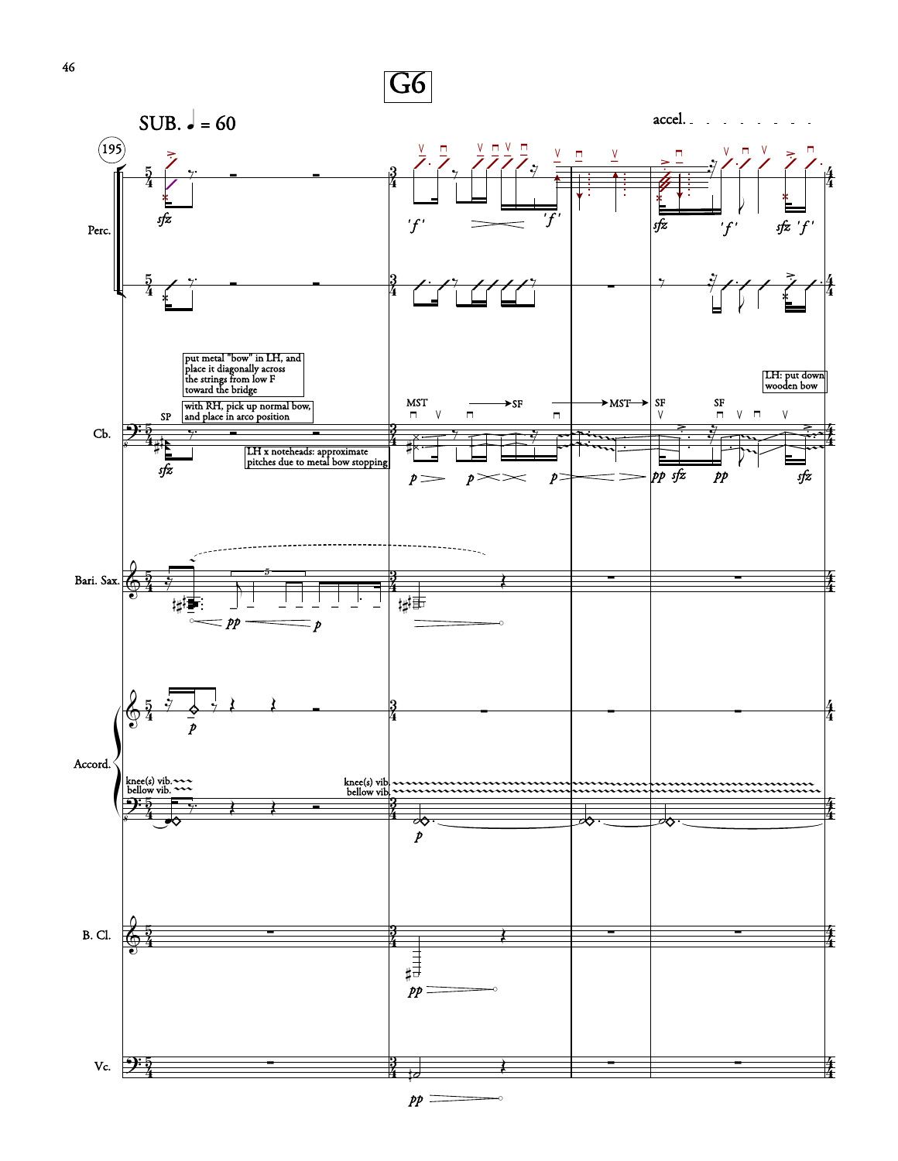

46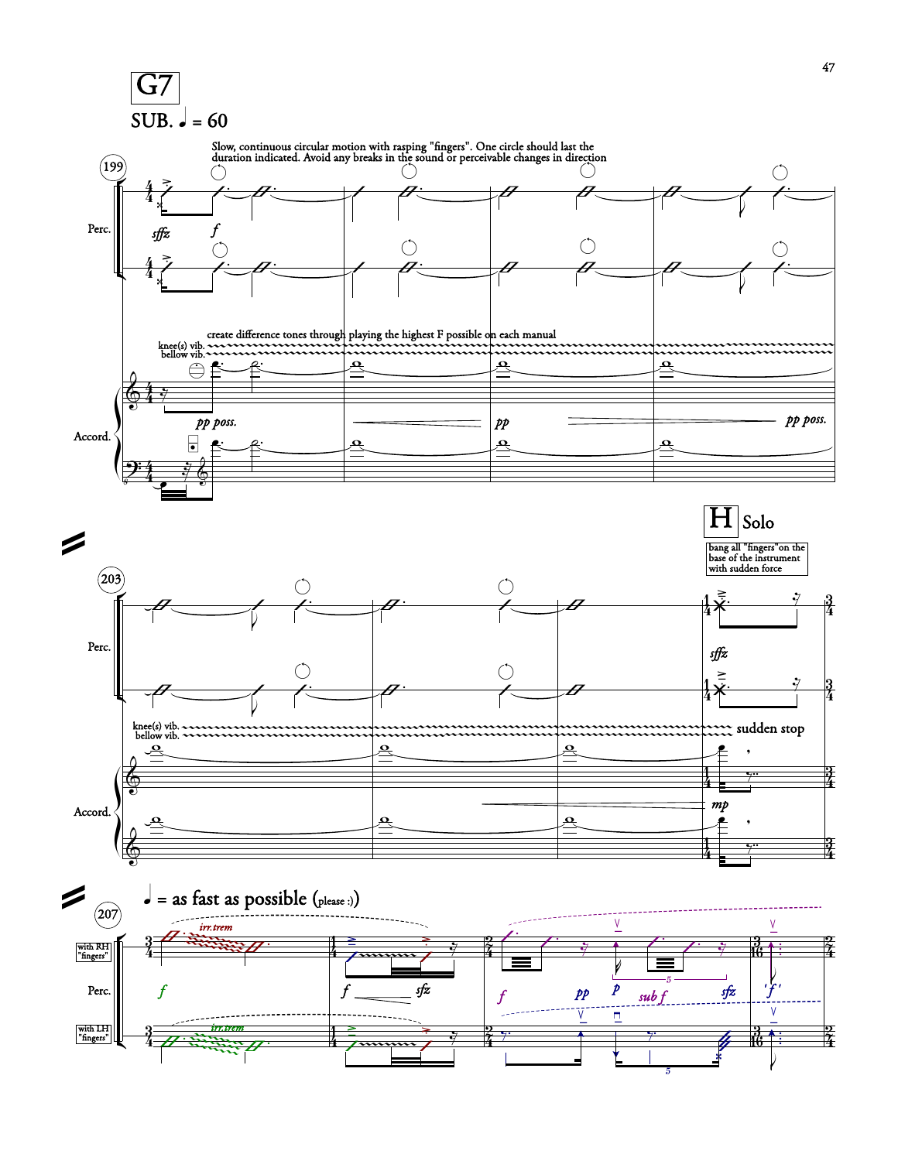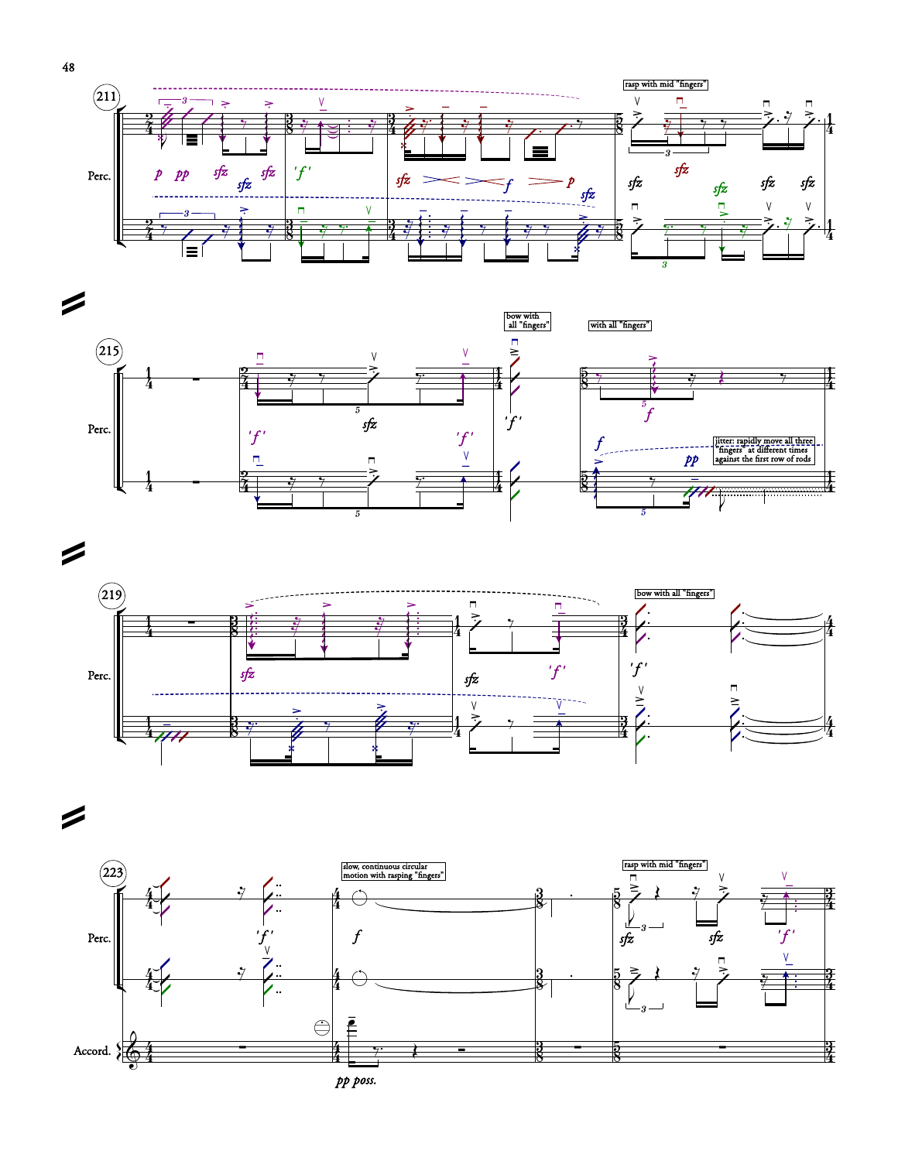







=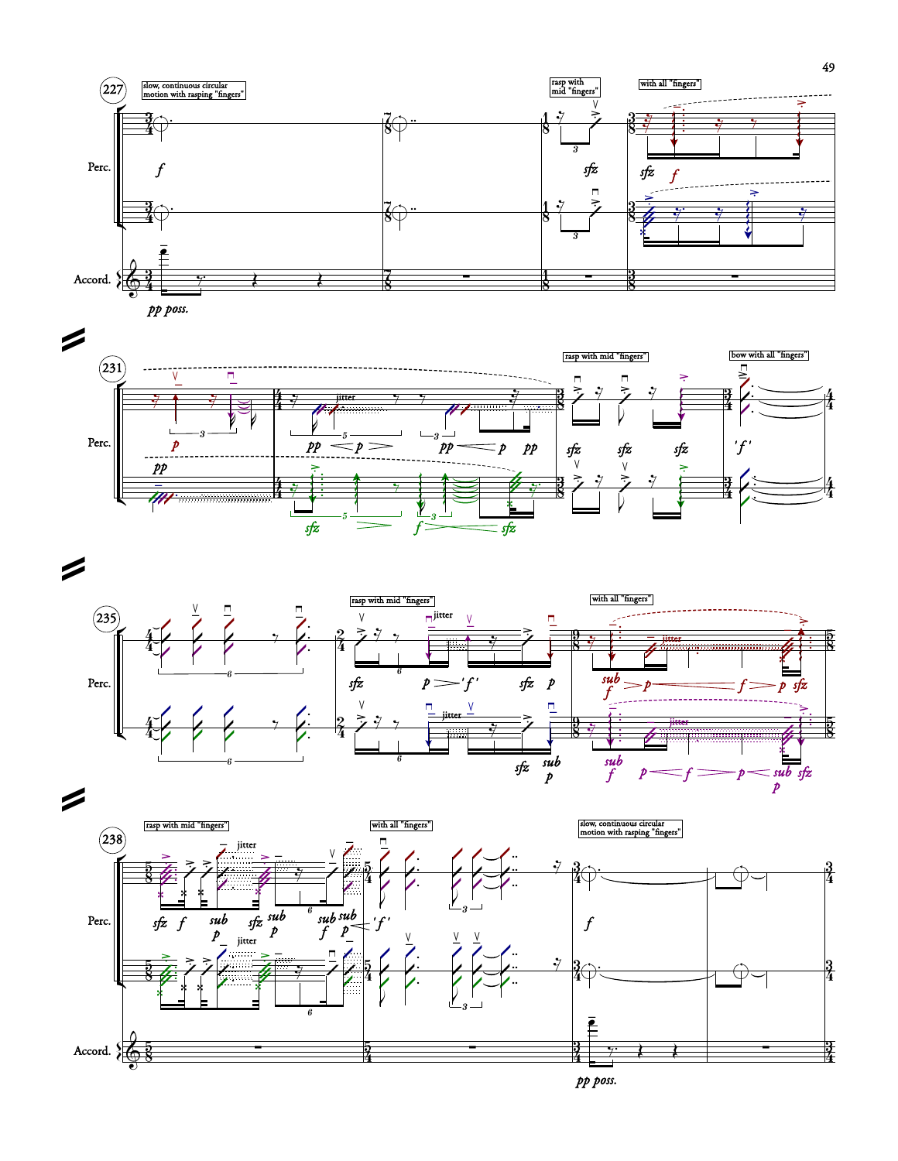







*pp poss.*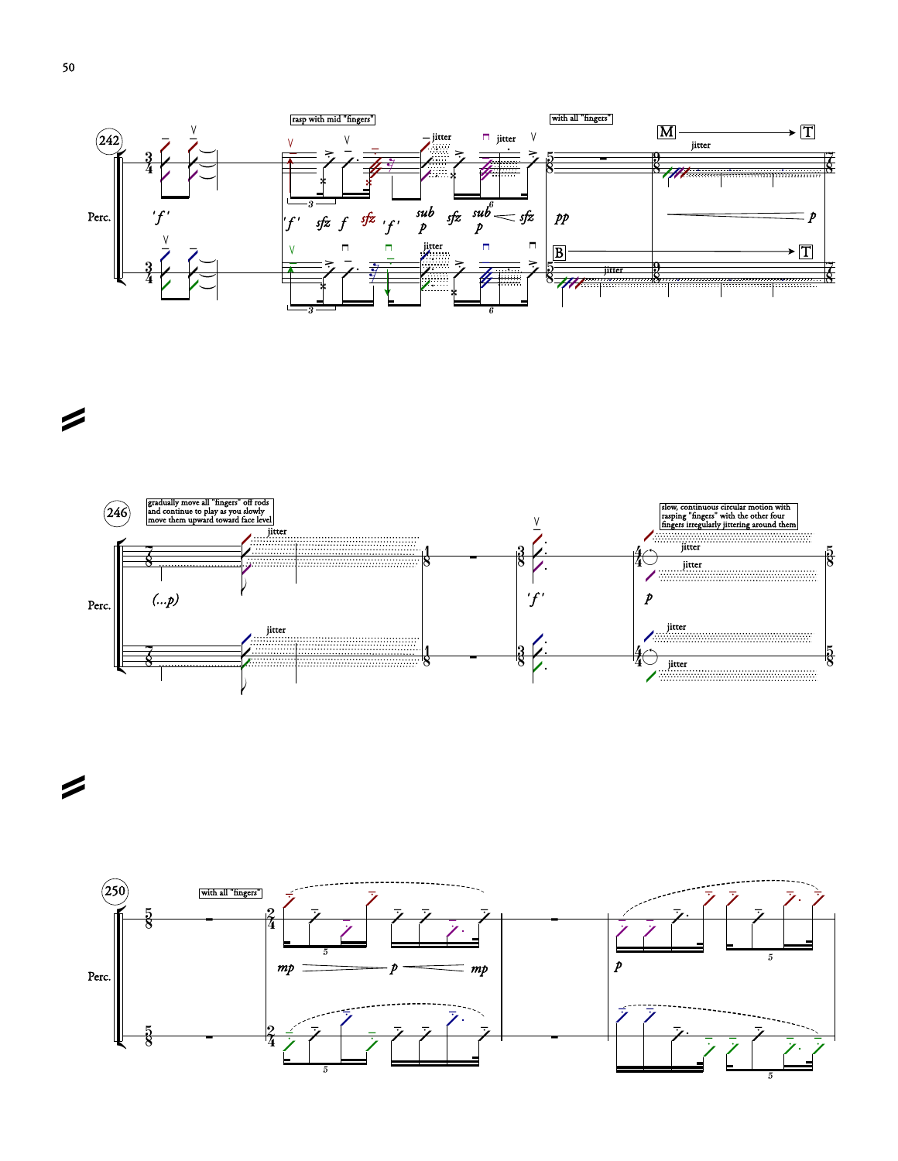



=